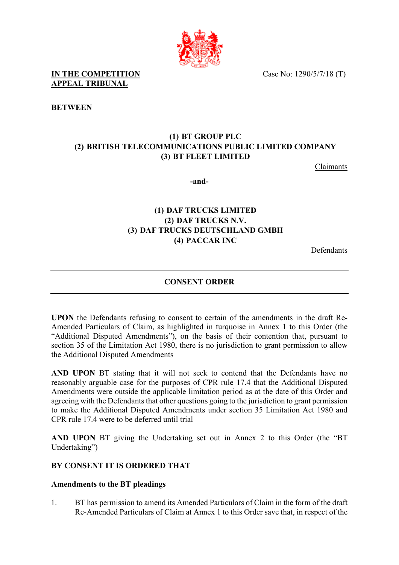Case No: 1290/5/7/18 (T)



**IN THE COMPETITION APPEAL TRIBUNAL** 

**BETWEEN**

# **(1) BT GROUP PLC (2) BRITISH TELECOMMUNICATIONS PUBLIC LIMITED COMPANY (3) BT FLEET LIMITED**

Claimants

**-and-** 

# **(1) DAF TRUCKS LIMITED (2) DAF TRUCKS N.V. (3) DAF TRUCKS DEUTSCHLAND GMBH (4) PACCAR INC**

Defendants

## **CONSENT ORDER**

**UPON** the Defendants refusing to consent to certain of the amendments in the draft Re-Amended Particulars of Claim, as highlighted in turquoise in Annex 1 to this Order (the "Additional Disputed Amendments"), on the basis of their contention that, pursuant to section 35 of the Limitation Act 1980, there is no jurisdiction to grant permission to allow the Additional Disputed Amendments

**AND UPON** BT stating that it will not seek to contend that the Defendants have no reasonably arguable case for the purposes of CPR rule 17.4 that the Additional Disputed Amendments were outside the applicable limitation period as at the date of this Order and agreeing with the Defendants that other questions going to the jurisdiction to grant permission to make the Additional Disputed Amendments under section 35 Limitation Act 1980 and CPR rule 17.4 were to be deferred until trial

**AND UPON** BT giving the Undertaking set out in Annex 2 to this Order (the "BT Undertaking")

### **BY CONSENT IT IS ORDERED THAT**

### **Amendments to the BT pleadings**

1. BT has permission to amend its Amended Particulars of Claim in the form of the draft Re-Amended Particulars of Claim at Annex 1 to this Order save that, in respect of the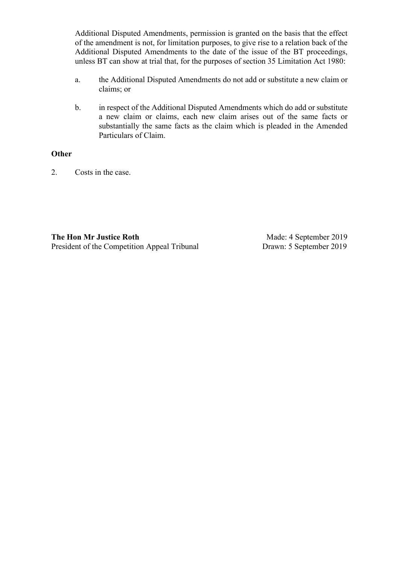Additional Disputed Amendments, permission is granted on the basis that the effect of the amendment is not, for limitation purposes, to give rise to a relation back of the Additional Disputed Amendments to the date of the issue of the BT proceedings, unless BT can show at trial that, for the purposes of section 35 Limitation Act 1980:

- a. the Additional Disputed Amendments do not add or substitute a new claim or claims; or
- b. in respect of the Additional Disputed Amendments which do add or substitute a new claim or claims, each new claim arises out of the same facts or substantially the same facts as the claim which is pleaded in the Amended Particulars of Claim.

#### **Other**

2. Costs in the case.

**The Hon Mr Justice Roth** President of the Competition Appeal Tribunal

Made: 4 September 2019 Drawn: 5 September 2019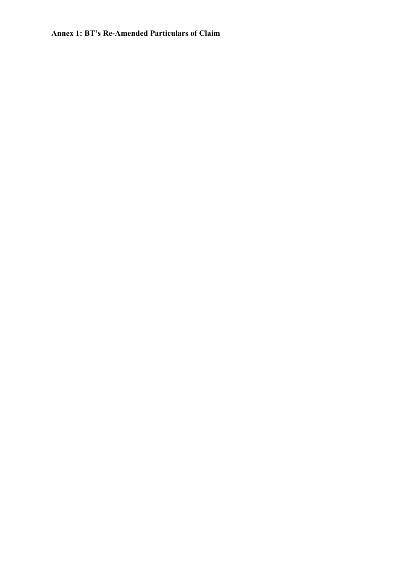## **Annex 1: BT's Re-Amended Particulars of Claim**